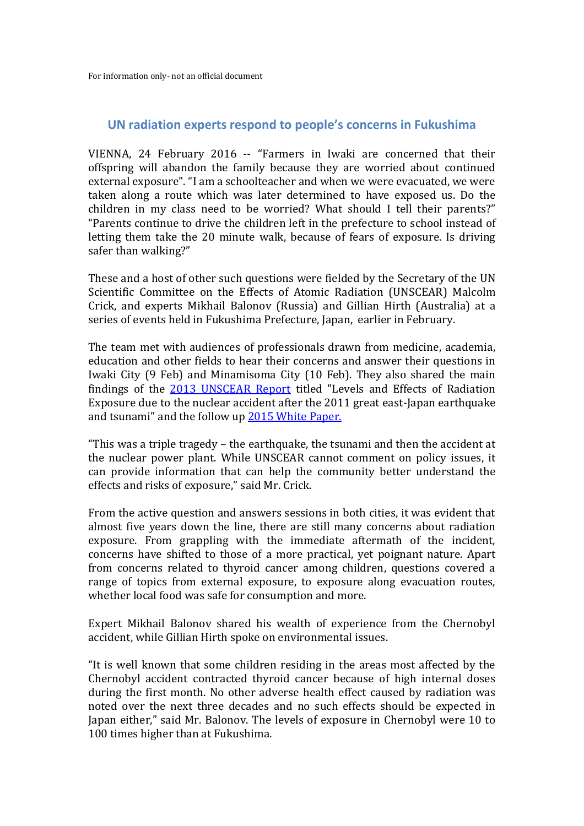For information only- not an official document

## **UN radiation experts respond to people's concerns in Fukushima**

VIENNA, 24 February 2016 -- "Farmers in Iwaki are concerned that their offspring will abandon the family because they are worried about continued external exposure". "I am a schoolteacher and when we were evacuated, we were taken along a route which was later determined to have exposed us. Do the children in my class need to be worried? What should I tell their parents?" "Parents continue to drive the children left in the prefecture to school instead of letting them take the 20 minute walk, because of fears of exposure. Is driving safer than walking?"

These and a host of other such questions were fielded by the Secretary of the UN Scientific Committee on the Effects of Atomic Radiation (UNSCEAR) Malcolm Crick, and experts Mikhail Balonov (Russia) and Gillian Hirth (Australia) at a series of events held in Fukushima Prefecture, Japan, earlier in February.

The team met with audiences of professionals drawn from medicine, academia, education and other fields to hear their concerns and answer their questions in Iwaki City (9 Feb) and Minamisoma City (10 Feb). They also shared the main findings of the [2013 UNSCEAR Report](http://www.unscear.org/unscear/en/publications/2013_1.html) titled "Levels and Effects of Radiation Exposure due to the nuclear accident after the 2011 great east-Japan earthquake and tsunami" and the follow up [2015 White Paper.](http://www.unscear.org/unscear/en/publications/Fukushima_WP2015.html)

"This was a triple tragedy – the earthquake, the tsunami and then the accident at the nuclear power plant. While UNSCEAR cannot comment on policy issues, it can provide information that can help the community better understand the effects and risks of exposure," said Mr. Crick.

From the active question and answers sessions in both cities, it was evident that almost five years down the line, there are still many concerns about radiation exposure. From grappling with the immediate aftermath of the incident, concerns have shifted to those of a more practical, yet poignant nature. Apart from concerns related to thyroid cancer among children, questions covered a range of topics from external exposure, to exposure along evacuation routes, whether local food was safe for consumption and more.

Expert Mikhail Balonov shared his wealth of experience from the Chernobyl accident, while Gillian Hirth spoke on environmental issues.

"It is well known that some children residing in the areas most affected by the Chernobyl accident contracted thyroid cancer because of high internal doses during the first month. No other adverse health effect caused by radiation was noted over the next three decades and no such effects should be expected in Japan either," said Mr. Balonov. The levels of exposure in Chernobyl were 10 to 100 times higher than at Fukushima.